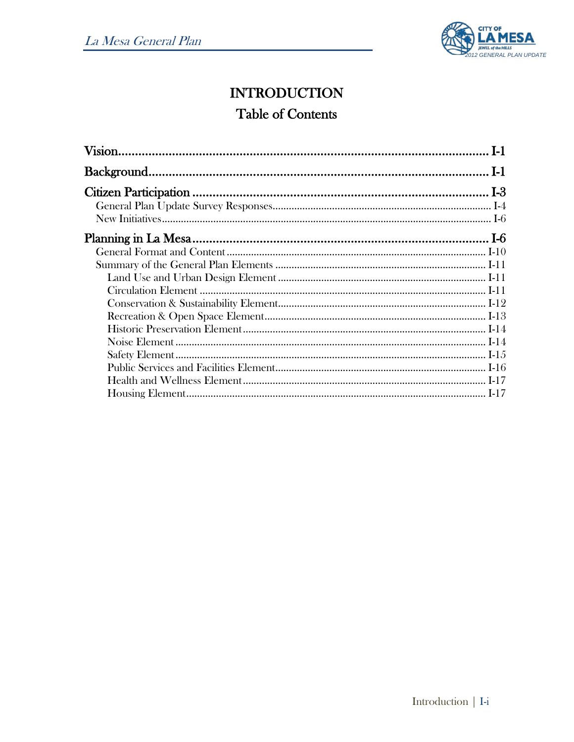

# **INTRODUCTION Table of Contents**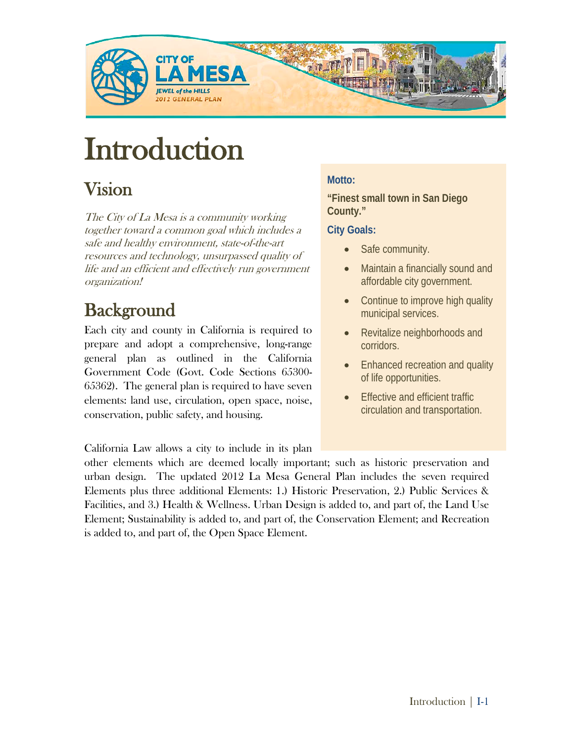

# **Introduction**

# Vision

The City of La Mesa is a community working together toward a common goal which includes a safe and healthy environment, state-of-the-art resources and technology, unsurpassed quality of life and an efficient and effectively run government organization!

**Background**<br>Each city and county in California is required to prepare and adopt a comprehensive, long-range general plan as outlined in the California Government Code (Govt. Code Sections 65300- 65362). The general plan is required to have seven elements: land use, circulation, open space, noise, conservation, public safety, and housing.

## **Motto:**

**"Finest small town in San Diego County."**

#### **City Goals:**

- Safe community.
- Maintain a financially sound and affordable city government.
- Continue to improve high quality municipal services.
- Revitalize neighborhoods and corridors.
- Enhanced recreation and quality of life opportunities.
- **Effective and efficient traffic** circulation and transportation.

California Law allows a city to include in its plan

other elements which are deemed locally important; such as historic preservation and urban design. The updated 2012 La Mesa General Plan includes the seven required Elements plus three additional Elements: 1.) Historic Preservation, 2.) Public Services & Facilities, and 3.) Health & Wellness. Urban Design is added to, and part of, the Land Use Element; Sustainability is added to, and part of, the Conservation Element; and Recreation is added to, and part of, the Open Space Element.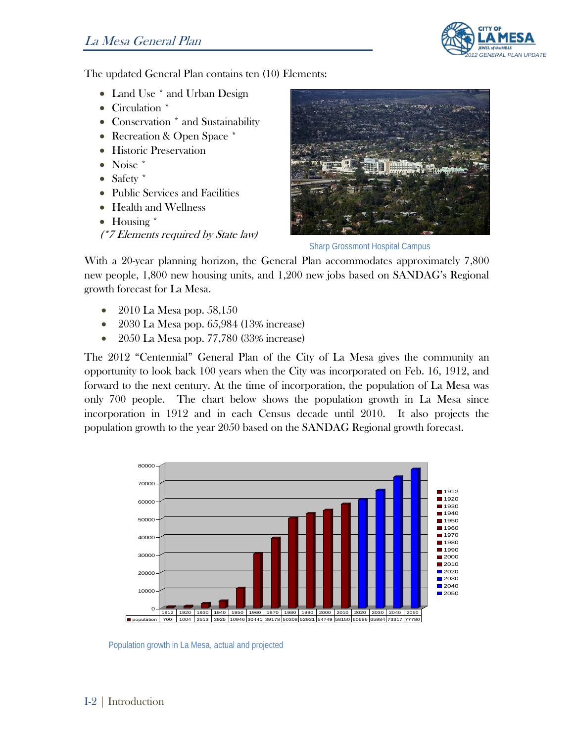

The updated General Plan contains ten (10) Elements:

- Land Use \* and Urban Design
- Circulation \*
- Conservation \* and Sustainability
- Recreation & Open Space \*
- Historic Preservation
- Noise \*
- Safety \*
- Public Services and Facilities
- Health and Wellness
- Housing \*

(\*7 Elements required by State law)



Sharp Grossmont Hospital Campus

With a 20-year planning horizon, the General Plan accommodates approximately 7,800 new people, 1,800 new housing units, and 1,200 new jobs based on SANDAG's Regional growth forecast for La Mesa.

- 2010 La Mesa pop. 58,150
- 2030 La Mesa pop. 65,984 (13% increase)
- 2050 La Mesa pop. 77,780 (33% increase)

The 2012 "Centennial" General Plan of the City of La Mesa gives the community an opportunity to look back 100 years when the City was incorporated on Feb. 16, 1912, and forward to the next century. At the time of incorporation, the population of La Mesa was only 700 people. The chart below shows the population growth in La Mesa since incorporation in 1912 and in each Census decade until 2010. It also projects the population growth to the year 2050 based on the SANDAG Regional growth forecast.



Population growth in La Mesa, actual and projected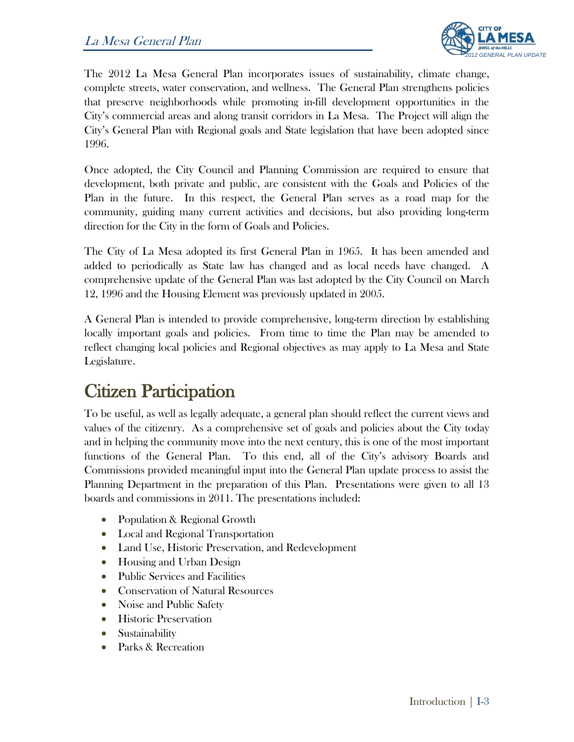

The 2012 La Mesa General Plan incorporates issues of sustainability, climate change, complete streets, water conservation, and wellness. The General Plan strengthens policies that preserve neighborhoods while promoting in-fill development opportunities in the City's commercial areas and along transit corridors in La Mesa. The Project will align the City's General Plan with Regional goals and State legislation that have been adopted since 1996.

Once adopted, the City Council and Planning Commission are required to ensure that development, both private and public, are consistent with the Goals and Policies of the Plan in the future. In this respect, the General Plan serves as a road map for the community, guiding many current activities and decisions, but also providing long-term direction for the City in the form of Goals and Policies.

The City of La Mesa adopted its first General Plan in 1965. It has been amended and added to periodically as State law has changed and as local needs have changed. A comprehensive update of the General Plan was last adopted by the City Council on March 12, 1996 and the Housing Element was previously updated in 2005.

A General Plan is intended to provide comprehensive, long-term direction by establishing locally important goals and policies. From time to time the Plan may be amended to reflect changing local policies and Regional objectives as may apply to La Mesa and State Legislature.

# Citizen Participation

To be useful, as well as legally adequate, a general plan should reflect the current views and values of the citizenry. As a comprehensive set of goals and policies about the City today and in helping the community move into the next century, this is one of the most important functions of the General Plan. To this end, all of the City's advisory Boards and Commissions provided meaningful input into the General Plan update process to assist the Planning Department in the preparation of this Plan. Presentations were given to all 13 boards and commissions in 2011. The presentations included:

- Population & Regional Growth
- Local and Regional Transportation
- Land Use, Historic Preservation, and Redevelopment
- Housing and Urban Design
- Public Services and Facilities
- Conservation of Natural Resources
- Noise and Public Safety
- Historic Preservation
- Sustainability
- Parks & Recreation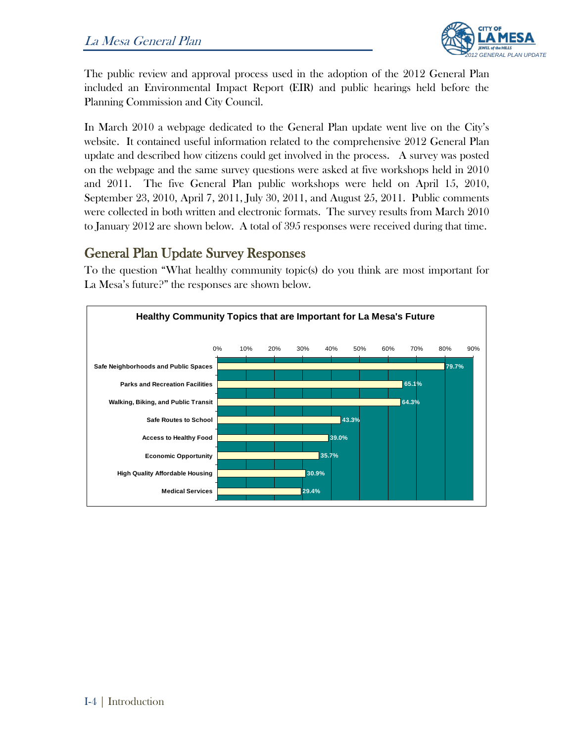

The public review and approval process used in the adoption of the 2012 General Plan included an Environmental Impact Report (EIR) and public hearings held before the Planning Commission and City Council.

In March 2010 a webpage dedicated to the General Plan update went live on the City's website. It contained useful information related to the comprehensive 2012 General Plan update and described how citizens could get involved in the process. A survey was posted on the webpage and the same survey questions were asked at five workshops held in 2010 and 2011. The five General Plan public workshops were held on April 15, 2010, September 23, 2010, April 7, 2011, July 30, 2011, and August 25, 2011. Public comments were collected in both written and electronic formats. The survey results from March 2010 to January 2012 are shown below. A total of 395 responses were received during that time.

#### General Plan Update Survey Responses

To the question "What healthy community topic(s) do you think are most important for La Mesa's future?" the responses are shown below.

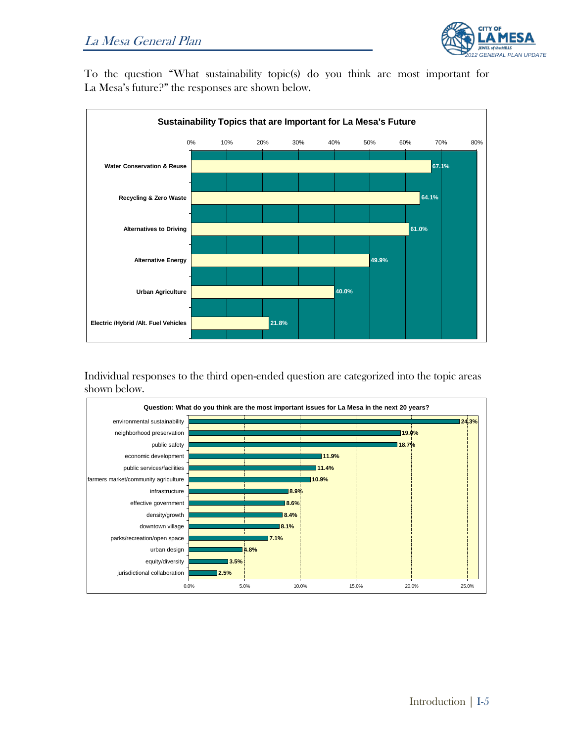

To the question "What sustainability topic(s) do you think are most important for La Mesa's future?" the responses are shown below.



Individual responses to the third open-ended question are categorized into the topic areas shown below.

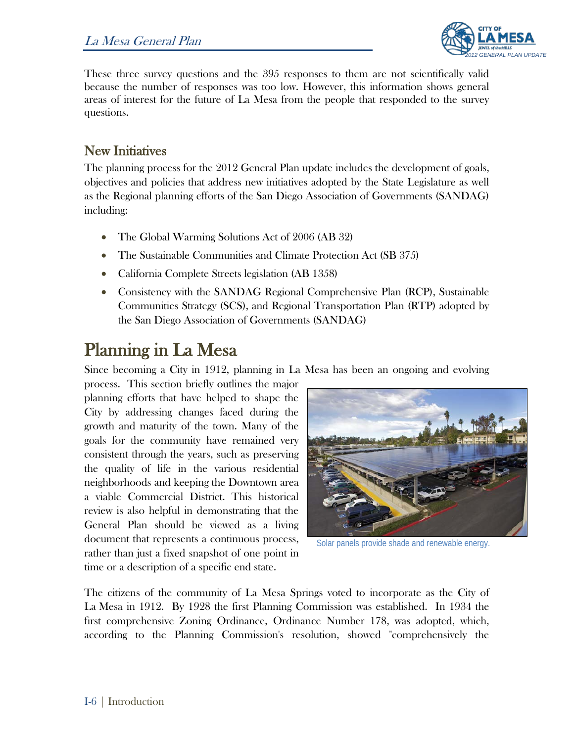

These three survey questions and the 395 responses to them are not scientifically valid because the number of responses was too low. However, this information shows general areas of interest for the future of La Mesa from the people that responded to the survey questions.

### New Initiatives

The planning process for the 2012 General Plan update includes the development of goals, objectives and policies that address new initiatives adopted by the State Legislature as well as the Regional planning efforts of the San Diego Association of Governments (SANDAG) including:

- The Global Warming Solutions Act of 2006 (AB 32)
- The Sustainable Communities and Climate Protection Act (SB 375)
- California Complete Streets legislation (AB 1358)
- Consistency with the SANDAG Regional Comprehensive Plan (RCP), Sustainable Communities Strategy (SCS), and Regional Transportation Plan (RTP) adopted by the San Diego Association of Governments (SANDAG)

Planning in La Mesa<br>Since becoming a City in 1912, planning in La Mesa has been an ongoing and evolving

process. This section briefly outlines the major planning efforts that have helped to shape the City by addressing changes faced during the growth and maturity of the town. Many of the goals for the community have remained very consistent through the years, such as preserving the quality of life in the various residential neighborhoods and keeping the Downtown area a viable Commercial District. This historical review is also helpful in demonstrating that the General Plan should be viewed as a living document that represents a continuous process, rather than just a fixed snapshot of one point in time or a description of a specific end state.



Solar panels provide shade and renewable energy.

The citizens of the community of La Mesa Springs voted to incorporate as the City of La Mesa in 1912. By 1928 the first Planning Commission was established. In 1934 the first comprehensive Zoning Ordinance, Ordinance Number 178, was adopted, which, according to the Planning Commission's resolution, showed "comprehensively the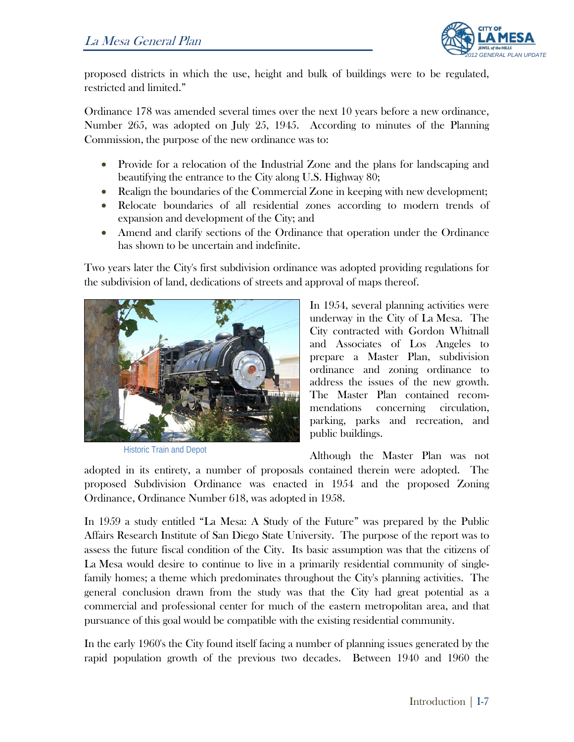

proposed districts in which the use, height and bulk of buildings were to be regulated, restricted and limited."

Ordinance 178 was amended several times over the next 10 years before a new ordinance, Number 265, was adopted on July 25, 1945. According to minutes of the Planning Commission, the purpose of the new ordinance was to:

- Provide for a relocation of the Industrial Zone and the plans for landscaping and beautifying the entrance to the City along U.S. Highway 80;
- Realign the boundaries of the Commercial Zone in keeping with new development;
- Relocate boundaries of all residential zones according to modern trends of expansion and development of the City; and
- Amend and clarify sections of the Ordinance that operation under the Ordinance has shown to be uncertain and indefinite.

Two years later the City's first subdivision ordinance was adopted providing regulations for the subdivision of land, dedications of streets and approval of maps thereof.



Historic Train and Depot

In 1954, several planning activities were underway in the City of La Mesa. The City contracted with Gordon Whitnall and Associates of Los Angeles to prepare a Master Plan, subdivision ordinance and zoning ordinance to address the issues of the new growth. The Master Plan contained recommendations concerning circulation, parking, parks and recreation, and public buildings.

Although the Master Plan was not

adopted in its entirety, a number of proposals contained therein were adopted. The proposed Subdivision Ordinance was enacted in 1954 and the proposed Zoning Ordinance, Ordinance Number 618, was adopted in 1958.

In 1959 a study entitled "La Mesa: A Study of the Future" was prepared by the Public Affairs Research Institute of San Diego State University. The purpose of the report was to assess the future fiscal condition of the City. Its basic assumption was that the citizens of La Mesa would desire to continue to live in a primarily residential community of singlefamily homes; a theme which predominates throughout the City's planning activities. The general conclusion drawn from the study was that the City had great potential as a commercial and professional center for much of the eastern metropolitan area, and that pursuance of this goal would be compatible with the existing residential community.

In the early 1960's the City found itself facing a number of planning issues generated by the rapid population growth of the previous two decades. Between 1940 and 1960 the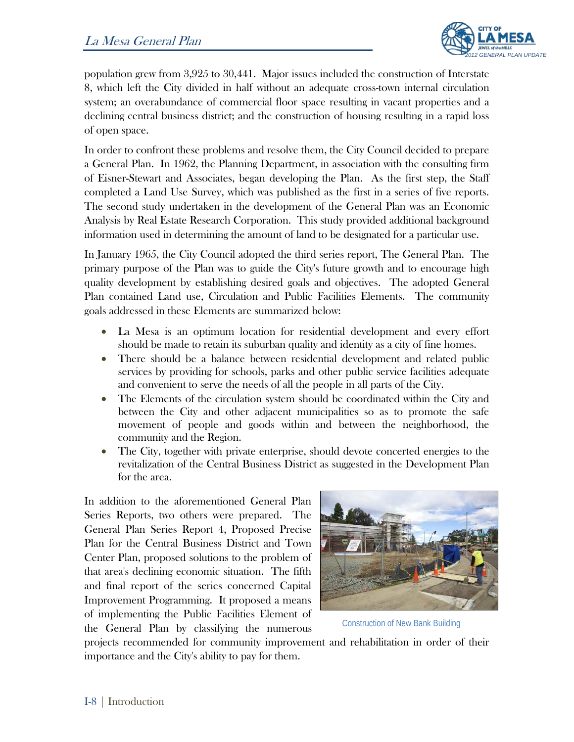

population grew from 3,925 to 30,441. Major issues included the construction of Interstate 8, which left the City divided in half without an adequate cross-town internal circulation system; an overabundance of commercial floor space resulting in vacant properties and a declining central business district; and the construction of housing resulting in a rapid loss of open space.

In order to confront these problems and resolve them, the City Council decided to prepare a General Plan. In 1962, the Planning Department, in association with the consulting firm of Eisner-Stewart and Associates, began developing the Plan. As the first step, the Staff completed a Land Use Survey, which was published as the first in a series of five reports. The second study undertaken in the development of the General Plan was an Economic Analysis by Real Estate Research Corporation. This study provided additional background information used in determining the amount of land to be designated for a particular use.

In January 1965, the City Council adopted the third series report, The General Plan. The primary purpose of the Plan was to guide the City's future growth and to encourage high quality development by establishing desired goals and objectives. The adopted General Plan contained Land use, Circulation and Public Facilities Elements. The community goals addressed in these Elements are summarized below:

- La Mesa is an optimum location for residential development and every effort should be made to retain its suburban quality and identity as a city of fine homes.
- There should be a balance between residential development and related public services by providing for schools, parks and other public service facilities adequate and convenient to serve the needs of all the people in all parts of the City.
- The Elements of the circulation system should be coordinated within the City and between the City and other adjacent municipalities so as to promote the safe movement of people and goods within and between the neighborhood, the community and the Region.
- The City, together with private enterprise, should devote concerted energies to the revitalization of the Central Business District as suggested in the Development Plan for the area.

In addition to the aforementioned General Plan Series Reports, two others were prepared. The General Plan Series Report 4, Proposed Precise Plan for the Central Business District and Town Center Plan, proposed solutions to the problem of that area's declining economic situation. The fifth and final report of the series concerned Capital Improvement Programming. It proposed a means of implementing the Public Facilities Element of the General Plan by classifying the numerous



Construction of New Bank Building

projects recommended for community improvement and rehabilitation in order of their importance and the City's ability to pay for them.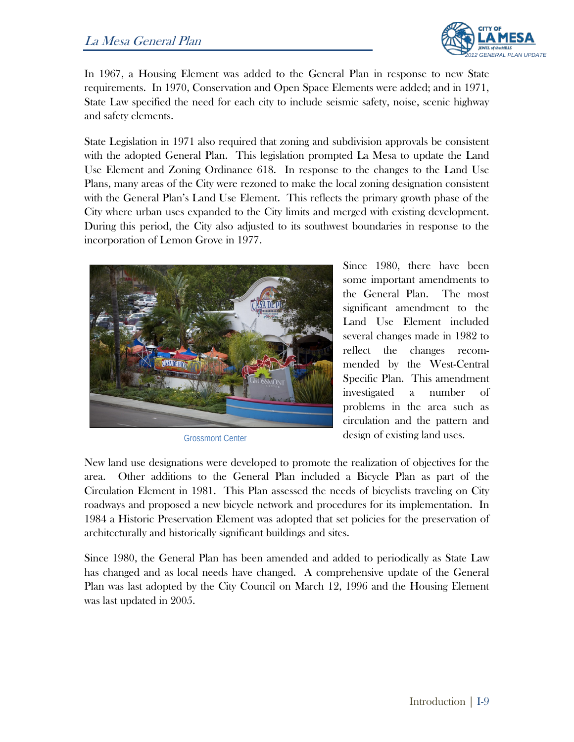#### La Mesa General Plan



In 1967, a Housing Element was added to the General Plan in response to new State requirements. In 1970, Conservation and Open Space Elements were added; and in 1971, State Law specified the need for each city to include seismic safety, noise, scenic highway and safety elements.

State Legislation in 1971 also required that zoning and subdivision approvals be consistent with the adopted General Plan. This legislation prompted La Mesa to update the Land Use Element and Zoning Ordinance 618. In response to the changes to the Land Use Plans, many areas of the City were rezoned to make the local zoning designation consistent with the General Plan's Land Use Element. This reflects the primary growth phase of the City where urban uses expanded to the City limits and merged with existing development. During this period, the City also adjusted to its southwest boundaries in response to the incorporation of Lemon Grove in 1977.



Grossmont Center

Since 1980, there have been some important amendments to the General Plan. The most significant amendment to the Land Use Element included several changes made in 1982 to reflect the changes recommended by the West-Central Specific Plan. This amendment investigated a number of problems in the area such as circulation and the pattern and design of existing land uses.

New land use designations were developed to promote the realization of objectives for the area. Other additions to the General Plan included a Bicycle Plan as part of the Circulation Element in 1981. This Plan assessed the needs of bicyclists traveling on City roadways and proposed a new bicycle network and procedures for its implementation. In 1984 a Historic Preservation Element was adopted that set policies for the preservation of architecturally and historically significant buildings and sites.

Since 1980, the General Plan has been amended and added to periodically as State Law has changed and as local needs have changed. A comprehensive update of the General Plan was last adopted by the City Council on March 12, 1996 and the Housing Element was last updated in 2005.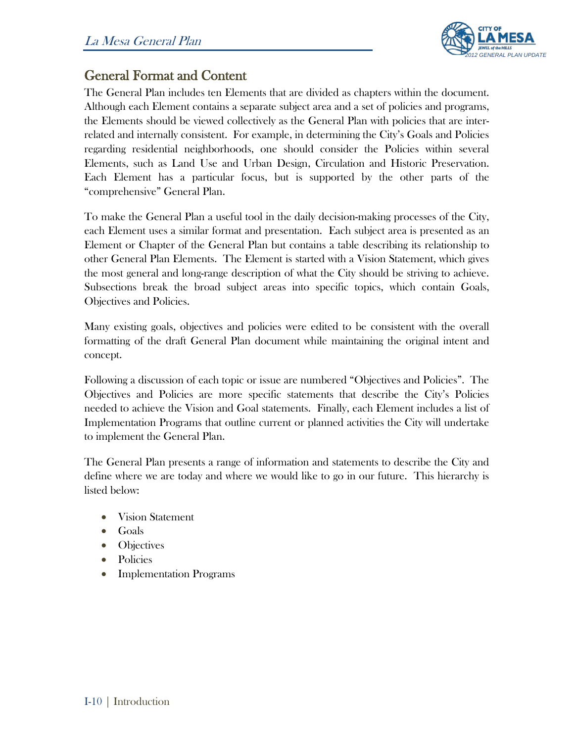

### General Format and Content

The General Plan includes ten Elements that are divided as chapters within the document. Although each Element contains a separate subject area and a set of policies and programs, the Elements should be viewed collectively as the General Plan with policies that are interrelated and internally consistent. For example, in determining the City's Goals and Policies regarding residential neighborhoods, one should consider the Policies within several Elements, such as Land Use and Urban Design, Circulation and Historic Preservation. Each Element has a particular focus, but is supported by the other parts of the "comprehensive" General Plan.

To make the General Plan a useful tool in the daily decision-making processes of the City, each Element uses a similar format and presentation. Each subject area is presented as an Element or Chapter of the General Plan but contains a table describing its relationship to other General Plan Elements. The Element is started with a Vision Statement, which gives the most general and long-range description of what the City should be striving to achieve. Subsections break the broad subject areas into specific topics, which contain Goals, Objectives and Policies.

Many existing goals, objectives and policies were edited to be consistent with the overall formatting of the draft General Plan document while maintaining the original intent and concept.

Following a discussion of each topic or issue are numbered "Objectives and Policies". The Objectives and Policies are more specific statements that describe the City's Policies needed to achieve the Vision and Goal statements. Finally, each Element includes a list of Implementation Programs that outline current or planned activities the City will undertake to implement the General Plan.

The General Plan presents a range of information and statements to describe the City and define where we are today and where we would like to go in our future. This hierarchy is listed below:

- Vision Statement
- Goals
- Objectives
- Policies
- Implementation Programs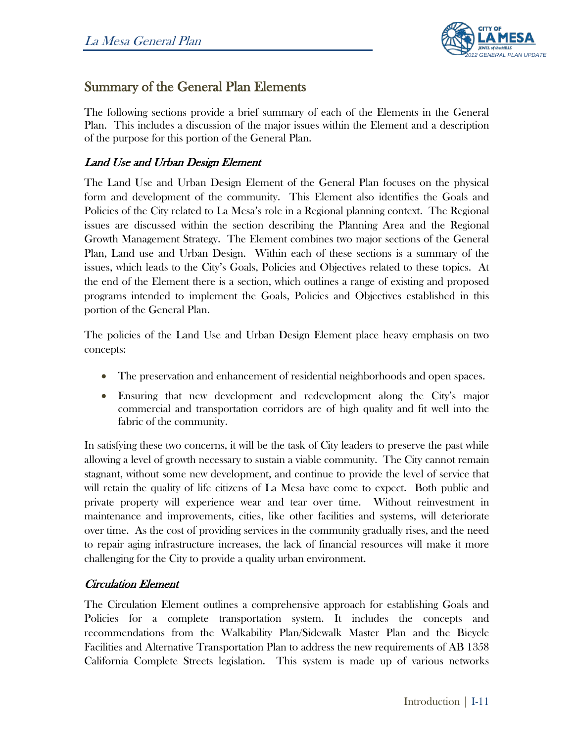

### Summary of the General Plan Elements

The following sections provide a brief summary of each of the Elements in the General Plan. This includes a discussion of the major issues within the Element and a description of the purpose for this portion of the General Plan.

#### Land Use and Urban Design Element

The Land Use and Urban Design Element of the General Plan focuses on the physical form and development of the community. This Element also identifies the Goals and Policies of the City related to La Mesa's role in a Regional planning context. The Regional issues are discussed within the section describing the Planning Area and the Regional Growth Management Strategy. The Element combines two major sections of the General Plan, Land use and Urban Design. Within each of these sections is a summary of the issues, which leads to the City's Goals, Policies and Objectives related to these topics. At the end of the Element there is a section, which outlines a range of existing and proposed programs intended to implement the Goals, Policies and Objectives established in this portion of the General Plan.

The policies of the Land Use and Urban Design Element place heavy emphasis on two concepts:

- The preservation and enhancement of residential neighborhoods and open spaces.
- Ensuring that new development and redevelopment along the City's major commercial and transportation corridors are of high quality and fit well into the fabric of the community.

In satisfying these two concerns, it will be the task of City leaders to preserve the past while allowing a level of growth necessary to sustain a viable community. The City cannot remain stagnant, without some new development, and continue to provide the level of service that will retain the quality of life citizens of La Mesa have come to expect. Both public and private property will experience wear and tear over time. Without reinvestment in maintenance and improvements, cities, like other facilities and systems, will deteriorate over time. As the cost of providing services in the community gradually rises, and the need to repair aging infrastructure increases, the lack of financial resources will make it more challenging for the City to provide a quality urban environment.

#### Circulation Element

The Circulation Element outlines a comprehensive approach for establishing Goals and Policies for a complete transportation system. It includes the concepts and recommendations from the Walkability Plan/Sidewalk Master Plan and the Bicycle Facilities and Alternative Transportation Plan to address the new requirements of AB 1358 California Complete Streets legislation. This system is made up of various networks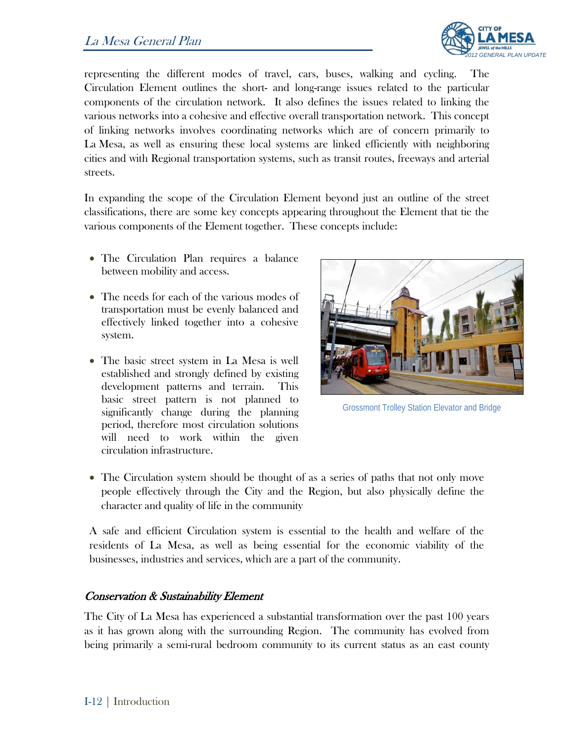

representing the different modes of travel, cars, buses, walking and cycling. The Circulation Element outlines the short- and long-range issues related to the particular components of the circulation network. It also defines the issues related to linking the various networks into a cohesive and effective overall transportation network. This concept of linking networks involves coordinating networks which are of concern primarily to La Mesa, as well as ensuring these local systems are linked efficiently with neighboring cities and with Regional transportation systems, such as transit routes, freeways and arterial streets.

In expanding the scope of the Circulation Element beyond just an outline of the street classifications, there are some key concepts appearing throughout the Element that tie the various components of the Element together. These concepts include:

- The Circulation Plan requires a balance between mobility and access.
- The needs for each of the various modes of transportation must be evenly balanced and effectively linked together into a cohesive system.
- The basic street system in La Mesa is well established and strongly defined by existing development patterns and terrain. This basic street pattern is not planned to significantly change during the planning period, therefore most circulation solutions will need to work within the given circulation infrastructure.



Grossmont Trolley Station Elevator and Bridge

• The Circulation system should be thought of as a series of paths that not only move people effectively through the City and the Region, but also physically define the character and quality of life in the community

A safe and efficient Circulation system is essential to the health and welfare of the residents of La Mesa, as well as being essential for the economic viability of the businesses, industries and services, which are a part of the community.

#### Conservation & Sustainability Element

The City of La Mesa has experienced a substantial transformation over the past 100 years as it has grown along with the surrounding Region. The community has evolved from being primarily a semi-rural bedroom community to its current status as an east county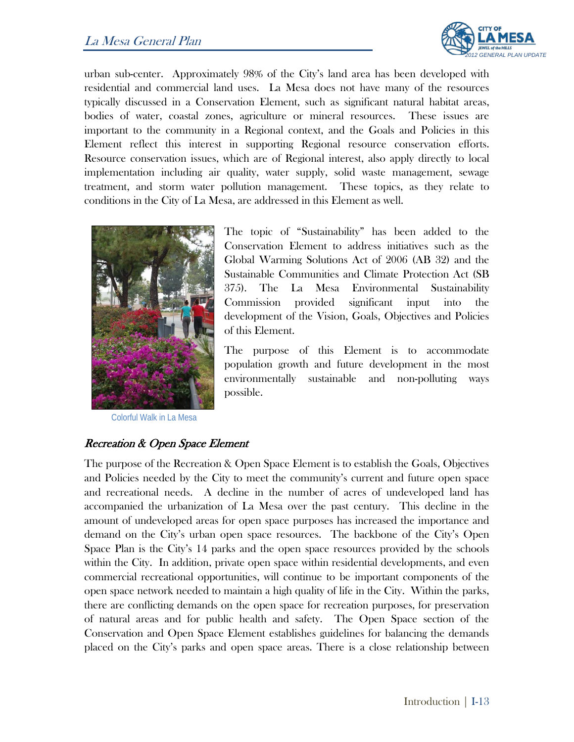#### La Mesa General Plan



urban sub-center. Approximately 98% of the City's land area has been developed with residential and commercial land uses. La Mesa does not have many of the resources typically discussed in a Conservation Element, such as significant natural habitat areas, bodies of water, coastal zones, agriculture or mineral resources. These issues are important to the community in a Regional context, and the Goals and Policies in this Element reflect this interest in supporting Regional resource conservation efforts. Resource conservation issues, which are of Regional interest, also apply directly to local implementation including air quality, water supply, solid waste management, sewage treatment, and storm water pollution management. These topics, as they relate to conditions in the City of La Mesa, are addressed in this Element as well.



Colorful Walk in La Mesa

The topic of "Sustainability" has been added to the Conservation Element to address initiatives such as the Global Warming Solutions Act of 2006 (AB 32) and the Sustainable Communities and Climate Protection Act (SB 375). The La Mesa Environmental Sustainability Commission provided significant input into the development of the Vision, Goals, Objectives and Policies of this Element.

The purpose of this Element is to accommodate population growth and future development in the most environmentally sustainable and non-polluting ways possible.

#### Recreation & Open Space Element

The purpose of the Recreation & Open Space Element is to establish the Goals, Objectives and Policies needed by the City to meet the community's current and future open space and recreational needs. A decline in the number of acres of undeveloped land has accompanied the urbanization of La Mesa over the past century. This decline in the amount of undeveloped areas for open space purposes has increased the importance and demand on the City's urban open space resources. The backbone of the City's Open Space Plan is the City's 14 parks and the open space resources provided by the schools within the City. In addition, private open space within residential developments, and even commercial recreational opportunities, will continue to be important components of the open space network needed to maintain a high quality of life in the City. Within the parks, there are conflicting demands on the open space for recreation purposes, for preservation of natural areas and for public health and safety. The Open Space section of the Conservation and Open Space Element establishes guidelines for balancing the demands placed on the City's parks and open space areas. There is a close relationship between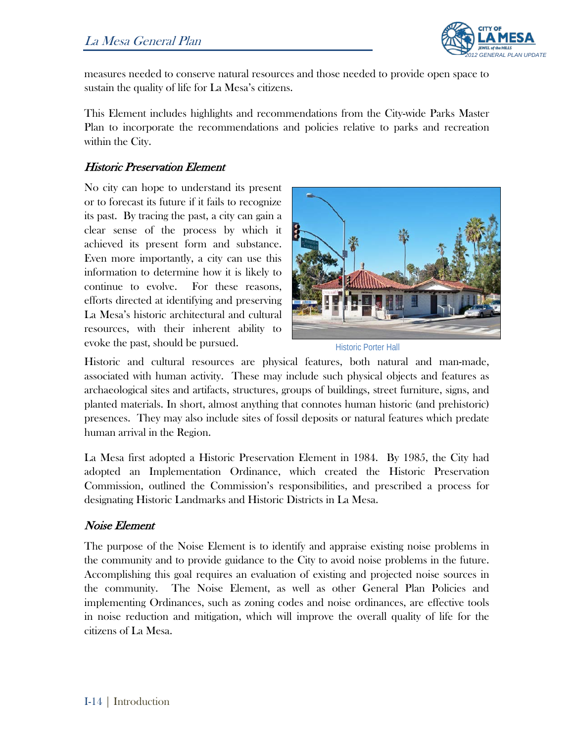

measures needed to conserve natural resources and those needed to provide open space to sustain the quality of life for La Mesa's citizens.

This Element includes highlights and recommendations from the City-wide Parks Master Plan to incorporate the recommendations and policies relative to parks and recreation within the City.

#### Historic Preservation Element

No city can hope to understand its present or to forecast its future if it fails to recognize its past. By tracing the past, a city can gain a clear sense of the process by which it achieved its present form and substance. Even more importantly, a city can use this information to determine how it is likely to continue to evolve. For these reasons, efforts directed at identifying and preserving La Mesa's historic architectural and cultural resources, with their inherent ability to evoke the past, should be pursued.



Historic Porter Hall

Historic and cultural resources are physical features, both natural and man-made, associated with human activity. These may include such physical objects and features as archaeological sites and artifacts, structures, groups of buildings, street furniture, signs, and planted materials. In short, almost anything that connotes human historic (and prehistoric) presences. They may also include sites of fossil deposits or natural features which predate human arrival in the Region.

La Mesa first adopted a Historic Preservation Element in 1984. By 1985, the City had adopted an Implementation Ordinance, which created the Historic Preservation Commission, outlined the Commission's responsibilities, and prescribed a process for designating Historic Landmarks and Historic Districts in La Mesa.

#### Noise Element

The purpose of the Noise Element is to identify and appraise existing noise problems in the community and to provide guidance to the City to avoid noise problems in the future. Accomplishing this goal requires an evaluation of existing and projected noise sources in the community. The Noise Element, as well as other General Plan Policies and implementing Ordinances, such as zoning codes and noise ordinances, are effective tools in noise reduction and mitigation, which will improve the overall quality of life for the citizens of La Mesa.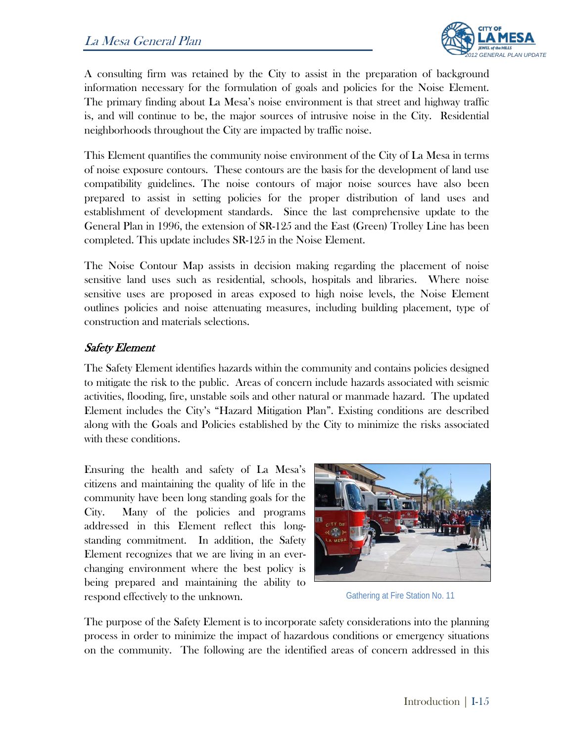

A consulting firm was retained by the City to assist in the preparation of background information necessary for the formulation of goals and policies for the Noise Element. The primary finding about La Mesa's noise environment is that street and highway traffic is, and will continue to be, the major sources of intrusive noise in the City. Residential neighborhoods throughout the City are impacted by traffic noise.

This Element quantifies the community noise environment of the City of La Mesa in terms of noise exposure contours. These contours are the basis for the development of land use compatibility guidelines. The noise contours of major noise sources have also been prepared to assist in setting policies for the proper distribution of land uses and establishment of development standards. Since the last comprehensive update to the General Plan in 1996, the extension of SR-125 and the East (Green) Trolley Line has been completed. This update includes SR-125 in the Noise Element.

The Noise Contour Map assists in decision making regarding the placement of noise sensitive land uses such as residential, schools, hospitals and libraries. Where noise sensitive uses are proposed in areas exposed to high noise levels, the Noise Element outlines policies and noise attenuating measures, including building placement, type of construction and materials selections.

#### Safety Element

The Safety Element identifies hazards within the community and contains policies designed to mitigate the risk to the public. Areas of concern include hazards associated with seismic activities, flooding, fire, unstable soils and other natural or manmade hazard. The updated Element includes the City's "Hazard Mitigation Plan". Existing conditions are described along with the Goals and Policies established by the City to minimize the risks associated with these conditions.

Ensuring the health and safety of La Mesa's citizens and maintaining the quality of life in the community have been long standing goals for the City. Many of the policies and programs addressed in this Element reflect this longstanding commitment. In addition, the Safety Element recognizes that we are living in an everchanging environment where the best policy is being prepared and maintaining the ability to respond effectively to the unknown.



Gathering at Fire Station No. 11

The purpose of the Safety Element is to incorporate safety considerations into the planning process in order to minimize the impact of hazardous conditions or emergency situations on the community. The following are the identified areas of concern addressed in this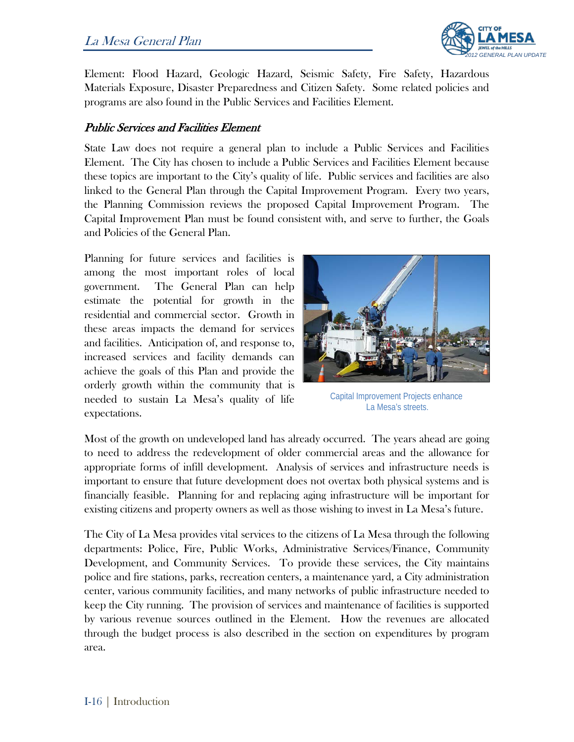

Element: Flood Hazard, Geologic Hazard, Seismic Safety, Fire Safety, Hazardous Materials Exposure, Disaster Preparedness and Citizen Safety. Some related policies and programs are also found in the Public Services and Facilities Element.

#### Public Services and Facilities Element

State Law does not require a general plan to include a Public Services and Facilities Element. The City has chosen to include a Public Services and Facilities Element because these topics are important to the City's quality of life. Public services and facilities are also linked to the General Plan through the Capital Improvement Program. Every two years, the Planning Commission reviews the proposed Capital Improvement Program. The Capital Improvement Plan must be found consistent with, and serve to further, the Goals and Policies of the General Plan.

Planning for future services and facilities is among the most important roles of local government. The General Plan can help estimate the potential for growth in the residential and commercial sector. Growth in these areas impacts the demand for services and facilities. Anticipation of, and response to, increased services and facility demands can achieve the goals of this Plan and provide the orderly growth within the community that is needed to sustain La Mesa's quality of life expectations.



Capital Improvement Projects enhance La Mesa's streets.

Most of the growth on undeveloped land has already occurred. The years ahead are going to need to address the redevelopment of older commercial areas and the allowance for appropriate forms of infill development. Analysis of services and infrastructure needs is important to ensure that future development does not overtax both physical systems and is financially feasible. Planning for and replacing aging infrastructure will be important for existing citizens and property owners as well as those wishing to invest in La Mesa's future.

The City of La Mesa provides vital services to the citizens of La Mesa through the following departments: Police, Fire, Public Works, Administrative Services/Finance, Community Development, and Community Services. To provide these services, the City maintains police and fire stations, parks, recreation centers, a maintenance yard, a City administration center, various community facilities, and many networks of public infrastructure needed to keep the City running. The provision of services and maintenance of facilities is supported by various revenue sources outlined in the Element. How the revenues are allocated through the budget process is also described in the section on expenditures by program area.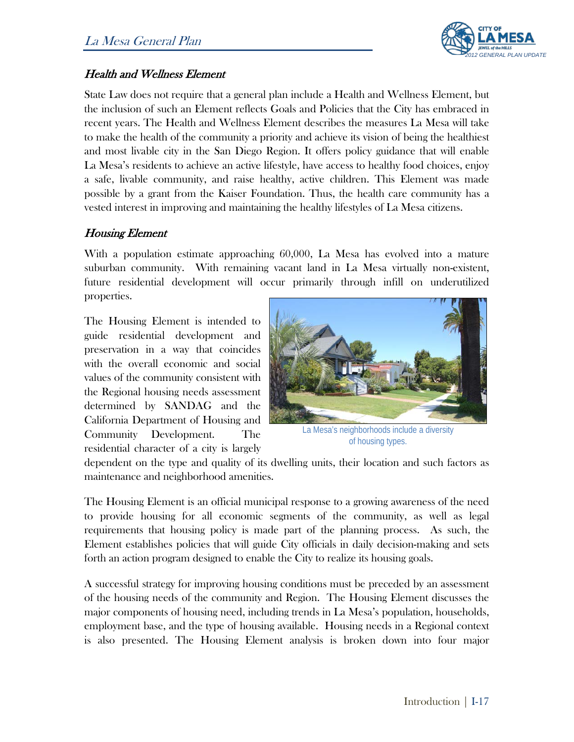

#### Health and Wellness Element

State Law does not require that a general plan include a Health and Wellness Element, but the inclusion of such an Element reflects Goals and Policies that the City has embraced in recent years. The Health and Wellness Element describes the measures La Mesa will take to make the health of the community a priority and achieve its vision of being the healthiest and most livable city in the San Diego Region. It offers policy guidance that will enable La Mesa's residents to achieve an active lifestyle, have access to healthy food choices, enjoy a safe, livable community, and raise healthy, active children. This Element was made possible by a grant from the Kaiser Foundation. Thus, the health care community has a vested interest in improving and maintaining the healthy lifestyles of La Mesa citizens.

#### Housing Element

With a population estimate approaching 60,000, La Mesa has evolved into a mature suburban community. With remaining vacant land in La Mesa virtually non-existent, future residential development will occur primarily through infill on underutilized properties.

The Housing Element is intended to guide residential development and preservation in a way that coincides with the overall economic and social values of the community consistent with the Regional housing needs assessment determined by SANDAG and the California Department of Housing and Community Development. The residential character of a city is largely



La Mesa's neighborhoods include a diversity of housing types.

dependent on the type and quality of its dwelling units, their location and such factors as maintenance and neighborhood amenities.

The Housing Element is an official municipal response to a growing awareness of the need to provide housing for all economic segments of the community, as well as legal requirements that housing policy is made part of the planning process. As such, the Element establishes policies that will guide City officials in daily decision-making and sets forth an action program designed to enable the City to realize its housing goals.

A successful strategy for improving housing conditions must be preceded by an assessment of the housing needs of the community and Region. The Housing Element discusses the major components of housing need, including trends in La Mesa's population, households, employment base, and the type of housing available. Housing needs in a Regional context is also presented. The Housing Element analysis is broken down into four major